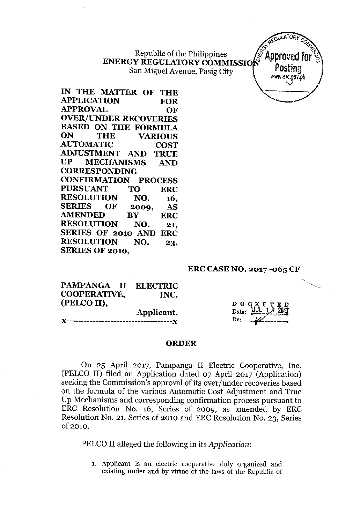Republic of the Philippines ENERGY REGULATORY COMMISSION TELLES San Miguel Avenue, Pasig City



IN THE MATTER OF THE APPLICATION FOR APPROVAL OF OVER/UNDER RECOVERIES BASED ON THE FORMULA ON THE VARIOUS AUTOMATIC COST ADJUSTMENT AND TRUE UP MECHANISMS AND CORRESPONDING CONFIRMATION PROCESS PURSUANT TO ERC RESOLUTION NO. 16, SERIES OF 2009, AS AMENDED BY ERC RESOLUTION NO. 21, SERIES OF 2010 AND ERC RESOLUTION NO. 23, SERIES OF 2010,

### ERC CASENO. 2017 -065 CF

| PAMPANGA II ELECTRIC |  |            |
|----------------------|--|------------|
| COOPERATIVE,         |  | INC.       |
| (PELCO II),          |  |            |
|                      |  | Applicant. |
|                      |  |            |

 $D$  O  $C_{\rm max}$  E T  $\mathbf{Data}$ : By:

#### ORDER

On 25 April 2017, Pampanga II Electric Cooperative, Inc. (PELCO II) filed an Application dated 07 April 2017 (Application) seeking the Commission's approval of its over/under recoveries based on the formula of the various Automatic Cost Adjustment and True Up Mechanisms and corresponding confirmation process pursuant to ERC Resolution No. 16, Series of 2009, as amended by ERC Resolution No. 21, Series of 2010 and ERC Resolution No. 23, Series of 2010.

PELCO II alleged the following in its *Application:*

1. Applicant is an electric cooperative duly organized and existing under and by virtue of the laws of the Republic of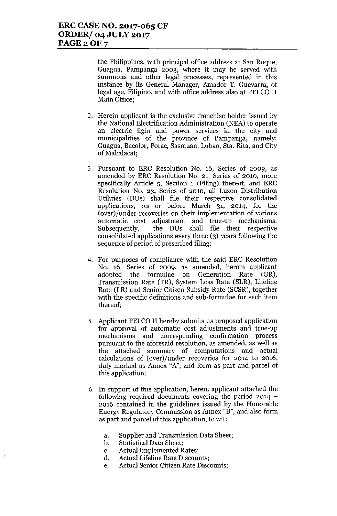the Philippines, with principal office address at San Roque, Guagua, Pampanga 2003, where it may be served with summons and other legal processes, represented in this instance by its General Manager, Amador T. Guevarra, of legal age, Filipino, and with office address also at PELCO II Main Office;

- 2. Herein applicant is the exclusive franchise holder issued by the National Electrification Administration (NEA) to operate an electric light and power services in the city and municipalities of the province of Pampanga, namely: Guagua, Bacolor, Porae, Sasmuan, Lubao, 8ta. Rita, and City of Mabalacat;
- 3. Pursuant to ERC Resolution No. 16, Series of 2009, as amended by ERC Resolution No. 21, Series of 2010, more specifically Article 5, Section 1 (Filing) thereof, and ERC Resolution No. 23, Series of 2010, all Luzon Distribution Utilities (DDs) shall file their respective consolidated applications, on or before March 31, 2014, for the (over)/under recoveries on their implementation of various automatic cost adjustment and true-up mechanisms. Subsequently, the DDs shall file their respective consolidated applications every three (3) years following the sequence of period of prescribed filing;
- 4. For purposes of compliance with the said ERC Resolution No. 16, Series of 2009, as amended, herein applicant adopted the formulae on Generation Rate (GR), Transmission Rate (TR), System Loss Rate (SLR), Lifeline Rate (LR) and Senior Citizen Subsidy Rate (SCSR), together with the specific definitions and sub-formulae for each item thereof;
- 5. Applicant PELCO II herehy submits its proposed application for approval of automatic cost adjustments and true-up mechanisms and corresponding confirmation process pursuant to the aforesaid resolution, as amended, as well as the attached summary of computations and actual calculations of (over)/under recoveries for 2014 to 2016, duly marked as Annex "A", and form as part and parcel of this application;
- 6. **In** support of this application, herein applicant attached the following required documents covering the period  $2014 -$ 2016 contained in the guidelines issued by the Honorable Energy Regulatory Commission as Annex "B", and also form as part and parcel of this application, to wit:
	- a. Supplier and Transmission Data Sheet;
	- b. Statistical Data Sheet;
	- c. Actual Implemented Rates;
	- d. Actual Lifeline Rate Discounts;
	- e. Actual Senior Citizen Rate Discounts;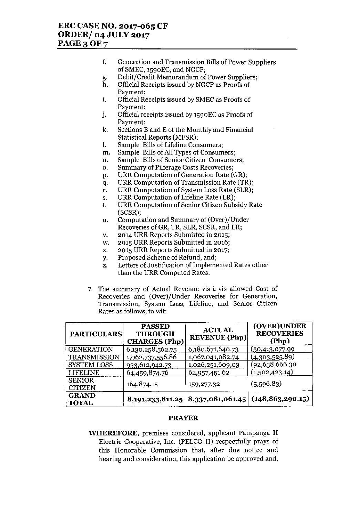# **ERC CASE NO. 2017-065 CF ORDER/ 04 JULY 2017 PAGE30F7**

- **f. Generation and Transmission Bills of Power Suppliers** of SMEC, 1590EC, and NGCP;
- g. Debit/Credit Memorandnm of Power Suppliers;
- h. Official Receipts issued by NGCP as Proofs of **Payment;**
- i. Official Receipts issued by SMEC as Proofs of Payment;
- j. Official receipts issued by 1590EC as Proofs of **Payment;**
- k. Sections Band E of the Monthly and Finaucial Statistical Reports (MFSR);
- I. Sample Bills of Lifeline Consumers;
- m. Sample Bills of **All** Types of Consumers;
- **n. Sample Bills of Senior Citizen Consumers;**
- **o. Summary of Pilferage Costs Recoveries;**
- p. URR Computation of Generation Rate (GR);
- q. URR Computation of Transmission Rate (TR);
- r. URR Computation of System Loss Rate (SLR);
- s. URR Computation of Lifeline Rate (LR);
- t. URR Computation of Senior Citizen Subsidy Rate (SCSR);
- u. Computation and Summary of (Over)/Under Recoveries of GR, TR, SLR, SCSR, and LR;
- v. 2014 URR Reports Submitted in 2015;
- w. 2015 URR Reports Submitted in 2016;
- x. 2015 URR Reports Submitted in 2017;
- y. Proposed Scheme of Refund, and;
- z. Letters of Justification of Implemented Rates other than the URR Computed Rates.
- **7. The summary of Actual Revenue vis-a.-vis allowed Cost of Recoveries and (Over)jUnder Recoveries for Generation, Transmission, System Loss, Lifeline, and Senior Citizen Rates as follows, to wit:**

| <b>PARTICULARS</b>              | <b>PASSED</b><br><b>THROUGH</b><br><b>CHARGES</b> (Php) | <b>ACTUAL</b><br><b>REVENUE</b> (Php) | (OVER)UNDER<br><b>RECOVERIES</b><br>(Php) |
|---------------------------------|---------------------------------------------------------|---------------------------------------|-------------------------------------------|
| <b>GENERATION</b>               | 6,130,258,562.75                                        | 6,180,671,640.73                      | (50, 413, 077.99)                         |
| TRANSMISSION                    | 1,062,737,556.86                                        | 1,067,041,082.74                      | (4,303,525.89)                            |
| SYSTEM LOSS                     | 933,612,942.73                                          | 1,026,251,609,03                      | <u>(92,638,666.30</u>                     |
| <b>LIFELINE</b>                 | 64,459,874.76                                           | 62,957,451.62                         | (1,502,423.14)                            |
| <b>SENIOR</b><br><b>CITIZEN</b> | 164,874.15                                              | 159,277.32                            | (5,596.83)                                |
| <b>GRAND</b><br><b>TOTAL</b>    |                                                         | 8,191,233,811.25   8,337,081,061.45   | (148, 863, 290.15)                        |

### **PRAYER**

**WHEREFORE, premises considered, applicant Pampanga II** Electric Cooperative, Inc. (PELCO II) respectfully prays of **this Honorable Commission that, after due notice and hearing and consideration, this application be approved and,**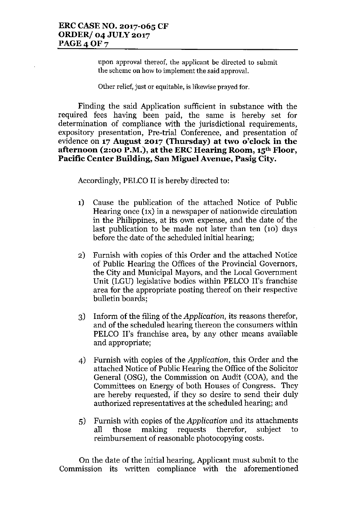**upon approval thereof, the applicant be directed to submit the scheme on how to implement the said approval.**

**Other relief, just or equitable, is likewise prayed fOf.**

Finding the said Application sufficient in substance with the required fees having been paid, the same is hereby set for determination of compliance with the jurisdictional requirements, expository presentation, Pre-trial Conference, and presentation of evidence on **17 August 2017 (Thursday) at two o'clock in the afternoon (2:00 P.M.), at the ERCHearing Room, 15th Floor, Pacific Center Building, San Miguel Avenue, Pasig City.**

Accordingly, PELCO II is hereby directed to:

- 1) Cause the publication of the attached Notice of Public Hearing once (IX) in a newspaper of nationwide circulation in the Philippines, at its own expense, and the date of the last publication to be made not later than ten (10) days before the date of the scheduled initial hearing;
- 2) Furnish with copies of this Order and the attached Notice of Public Hearing the Offices of the Provincial Governors, the City and Municipal Mayors, and the Local Government Unit (LGU) legislative bodies within PELCO II's franchise area for the appropriate posting thereof on their respective bulletin boards;
- 3) Inform of the filing of the *Application,* its reasons therefor, and of the scheduled hearing thereon the consumers within PELCO II's franchise area, by any other means available and appropriate;
- 4) Furnish with copies of the *Application,* this Order and the attached Notice of Public Hearing the Office of the Solicitor General (OSG), the Commission on Audit (COA), and the Committees on Energy of both Houses of Congress. They are hereby requested, if they so desire to send their duly authorized representatives at the scheduled hearing; and
- 5) Furnish with copies of the *Application* and its attachments all those making requests therefor, subject to reimbursement of reasonable photocopying costs.

On the date of the initial hearing, Applicant must submit to the Commission its written compliance with the aforementioned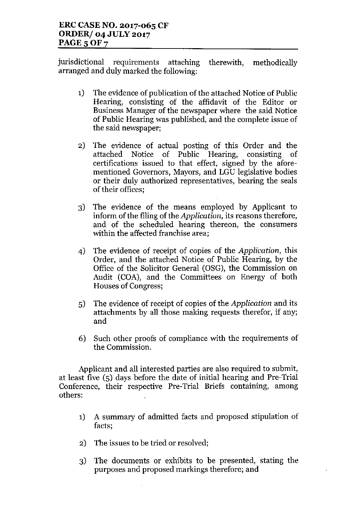jurisdictional requirements attaching therewith, methodically arranged and duly marked the following:

- 1) The evidence of publication of the attached Notice of Public Hearing, consisting of the affidavit of the Editor or Business Manager of the newspaper where the said Notice of Public Hearing was published, and the complete issue of the said newspaper;
- 2) The evidence of actual posting of this Order and the attached Notice of Public Hearing, consisting of certifications issued to that effect, signed by the aforementioned Governors, Mayors, and LGU legislative bodies or their duly authorized representatives, bearing the seals of their offices;
- 3) The evidence of the means employed by Applicant to inform of the filing of the *Application,* its reasons therefore, and of the scheduled hearing thereon, the consumers within the affected franchise area;
- 4) The evidence of receipt of copies of the *Application,* this Order, and the attached Notice of Public Hearing, by the Office of the Solicitor General (OSG), the Commission on Audit (COA), and the Committees on Energy of both Houses of Congress;
- 5) The evidence of receipt of copies of the *Application* and its attachments by all those making requests therefor, if any; and
- 6) Such other proofs of compliance with the requirements of the Commission.

Applicant and all interested parties are also required to submit, at least five (5) days before the date of initial hearing and Pre-Trial Conference, their respective Pre-Trial Briefs containing, among others:

- 1) A summary of admitted facts and proposed stipulation of facts;
- 2) The issues to be tried or resolved;
- 3) The documents or exhibits to be presented, stating the purposes and proposed markings therefore; and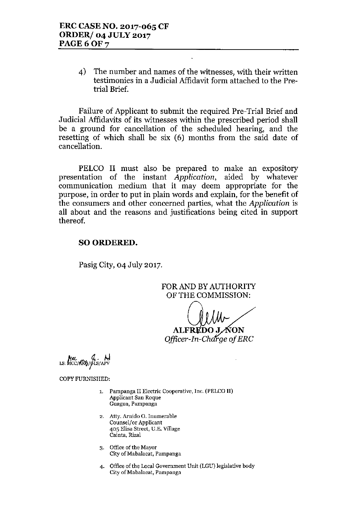4) The number and names of the witnesses, with their written testimonies in a Judicial Affidavit form attached to the Pretrial Brief.

Failure of Applicant to submit the required Pre-Trial Brief and Judicial Affidavits of its witnesses within the prescribed period shall be a ground for cancellation of the scheduled hearing, and the resetting of which shall be six (6) months from the said date of cancellation.

PELCO II must also be prepared to make an expository presentation of the instant *Application,* aided by whatever communication medium that it may deem appropriate for the purpose, in order to put in plain words and explain, for the benefit of the consumers and other concerned parties, what the *Application* is all about and the reasons and justifications being cited in support thereof.

## SO ORDERED.

Pasig City, 04 July 2017.

FOR AND BY AUTHORITY OF THE COMMISSION:

ŃON

**ALFREDO J** Officer-In-Charge of ERC

LS: MCC/ARG/GLS/APV

COPY FURNISHED,

- **1. Pampanga II Electric Cooperative, Inc. (PELCO II) Applicant San Roque Guagua, Pampanga**
- **2. Atty. Arnido O. Inumerable Counsel/or Applicant 405 Elisa Street, D,E. Village Cainta, Rizal**
- **3. Office of the Mayor City of Mabalaeat, Pampanga**
- **4. Office** of the **Local Government Unit (LGU) legislative body City of Mabalacat, Pampanga**